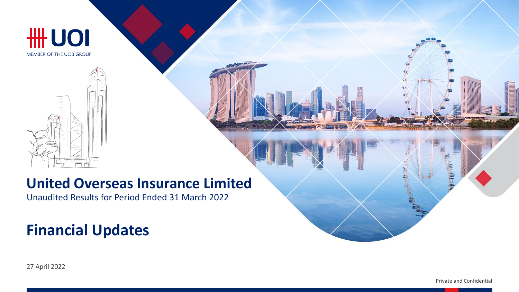

# UOI

MEMBER OF THE UOB GROUP

#### **United Overseas Insurance Limited**

Unaudited Results for Period Ended 31 March 2022

#### **Financial Updates**

27 April 2022

Private and Confidential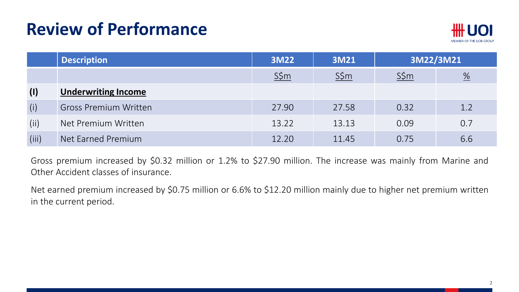

|       | <b>Description</b>           | 3M22            | <b>3M21</b>     | 3M22/3M21       |                 |
|-------|------------------------------|-----------------|-----------------|-----------------|-----------------|
|       |                              | $S\frac{2}{3}m$ | $S\frac{2}{3}m$ | $S\frac{2}{3}m$ | $\frac{\%}{\%}$ |
| (1)   | <b>Underwriting Income</b>   |                 |                 |                 |                 |
| (i)   | <b>Gross Premium Written</b> | 27.90           | 27.58           | 0.32            | 1.2             |
| (ii)  | Net Premium Written          | 13.22           | 13.13           | 0.09            | 0.7             |
| (iii) | Net Earned Premium           | 12.20           | 11.45           | 0.75            | 6.6             |

Gross premium increased by \$0.32 million or 1.2% to \$27.90 million. The increase was mainly from Marine and Other Accident classes of insurance.

Net earned premium increased by \$0.75 million or 6.6% to \$12.20 million mainly due to higher net premium written in the current period.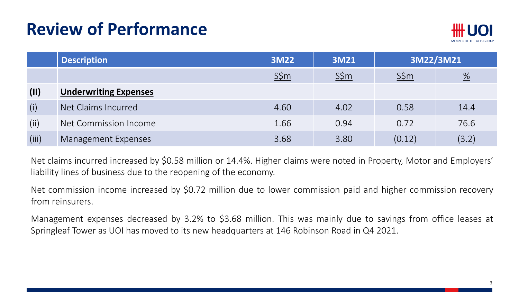

|       | <b>Description</b>           | 3M22    | <b>3M21</b> | 3M22/3M21 |                          |
|-------|------------------------------|---------|-------------|-----------|--------------------------|
|       |                              | $S\sin$ | $S\sin$     | $S\sin$   | $\frac{\%}{\frac{1}{2}}$ |
| (11)  | <b>Underwriting Expenses</b> |         |             |           |                          |
| (i)   | Net Claims Incurred          | 4.60    | 4.02        | 0.58      | 14.4                     |
| (ii)  | Net Commission Income        | 1.66    | 0.94        | 0.72      | 76.6                     |
| (iii) | Management Expenses          | 3.68    | 3.80        | (0.12)    | (3.2)                    |

Net claims incurred increased by \$0.58 million or 14.4%. Higher claims were noted in Property, Motor and Employers' liability lines of business due to the reopening of the economy.

Net commission income increased by \$0.72 million due to lower commission paid and higher commission recovery from reinsurers.

Management expenses decreased by 3.2% to \$3.68 million. This was mainly due to savings from office leases at Springleaf Tower as UOI has moved to its new headquarters at 146 Robinson Road in Q4 2021.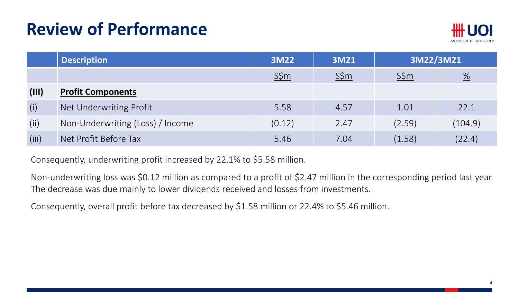

|       | <b>Description</b>               | 3M22    | <b>3M21</b> | 3M22/3M21 |                          |
|-------|----------------------------------|---------|-------------|-----------|--------------------------|
|       |                                  | $S\sin$ | $S\sin$     | $S\sin$   | $\frac{\%}{\phantom{a}}$ |
| (III) | <b>Profit Components</b>         |         |             |           |                          |
| (i)   | Net Underwriting Profit          | 5.58    | 4.57        | 1.01      | 22.1                     |
| (i)   | Non-Underwriting (Loss) / Income | (0.12)  | 2.47        | (2.59)    | (104.9)                  |
| (iii) | Net Profit Before Tax            | 5.46    | 7.04        | (1.58)    | (22.4)                   |

Consequently, underwriting profit increased by 22.1% to \$5.58 million.

Non-underwriting loss was \$0.12 million as compared to a profit of \$2.47 million in the corresponding period last year. The decrease was due mainly to lower dividends received and losses from investments.

Consequently, overall profit before tax decreased by \$1.58 million or 22.4% to \$5.46 million.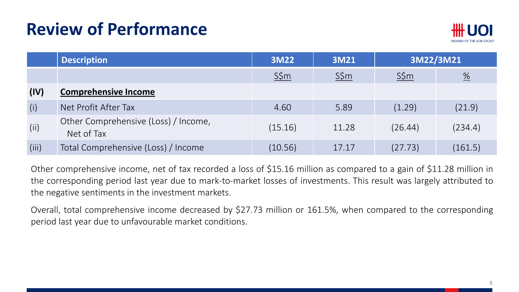

|       | <b>Description</b>                                 | 3M22            | <b>3M21</b> | 3M22/3M21 |                       |
|-------|----------------------------------------------------|-----------------|-------------|-----------|-----------------------|
|       |                                                    | $S\frac{2}{3}m$ | $S\sin$     | $S\sin$   | $\frac{\%}{\sqrt{2}}$ |
| (IV)  | <b>Comprehensive Income</b>                        |                 |             |           |                       |
| (i)   | Net Profit After Tax                               | 4.60            | 5.89        | (1.29)    | (21.9)                |
| (ii)  | Other Comprehensive (Loss) / Income,<br>Net of Tax | (15.16)         | 11.28       | (26.44)   | (234.4)               |
| (iii) | Total Comprehensive (Loss) / Income                | (10.56)         | 17.17       | (27.73)   | (161.5)               |

Other comprehensive income, net of tax recorded a loss of \$15.16 million as compared to a gain of \$11.28 million in the corresponding period last year due to mark-to-market losses of investments. This result was largely attributed to the negative sentiments in the investment markets.

Overall, total comprehensive income decreased by \$27.73 million or 161.5%, when compared to the corresponding period last year due to unfavourable market conditions.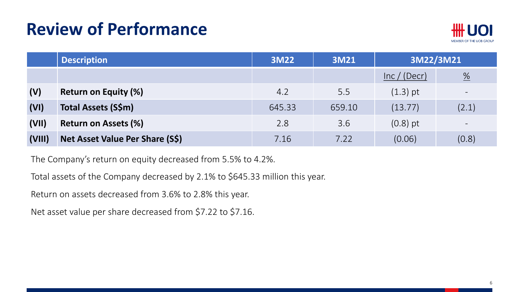

|        | <b>Description</b>              | 3M22   | 3M21   | 3M22/3M21    |                          |
|--------|---------------------------------|--------|--------|--------------|--------------------------|
|        |                                 |        |        | Inc / (Decr) | $\frac{\%}{\phantom{0}}$ |
| (V)    | <b>Return on Equity (%)</b>     | 4.2    | 5.5    | $(1.3)$ pt   | $\qquad \qquad -$        |
| (VI)   | Total Assets (S\$m)             | 645.33 | 659.10 | (13.77)      | (2.1)                    |
| (VII)  | <b>Return on Assets (%)</b>     | 2.8    | 3.6    | $(0.8)$ pt   | $\qquad \qquad -$        |
| (VIII) | Net Asset Value Per Share (S\$) | 7.16   | 7.22   | (0.06)       | (0.8)                    |

The Company's return on equity decreased from 5.5% to 4.2%.

Total assets of the Company decreased by 2.1% to \$645.33 million this year.

Return on assets decreased from 3.6% to 2.8% this year.

Net asset value per share decreased from \$7.22 to \$7.16.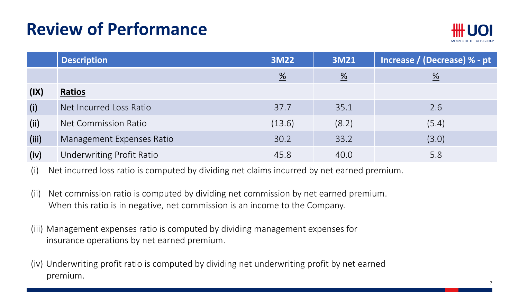

|       | <b>Description</b>        | 3M22                     | 3M21            | Increase / (Decrease) % - pt |
|-------|---------------------------|--------------------------|-----------------|------------------------------|
|       |                           | $\frac{\%}{\phantom{0}}$ | $\frac{\%}{\%}$ | $\frac{\%}{\frac{1}{2}}$     |
| (IX)  | Ratios                    |                          |                 |                              |
| (i)   | Net Incurred Loss Ratio   | 37.7                     | 35.1            | 2.6                          |
| (ii)  | Net Commission Ratio      | (13.6)                   | (8.2)           | (5.4)                        |
| (iii) | Management Expenses Ratio | 30.2                     | 33.2            | (3.0)                        |
| (iv)  | Underwriting Profit Ratio | 45.8                     | 40.0            | 5.8                          |

(i) Net incurred loss ratio is computed by dividing net claims incurred by net earned premium.

- (ii) Net commission ratio is computed by dividing net commission by net earned premium. When this ratio is in negative, net commission is an income to the Company.
- (iii) Management expenses ratio is computed by dividing management expenses for insurance operations by net earned premium.
- (iv) Underwriting profit ratio is computed by dividing net underwriting profit by net earned premium.